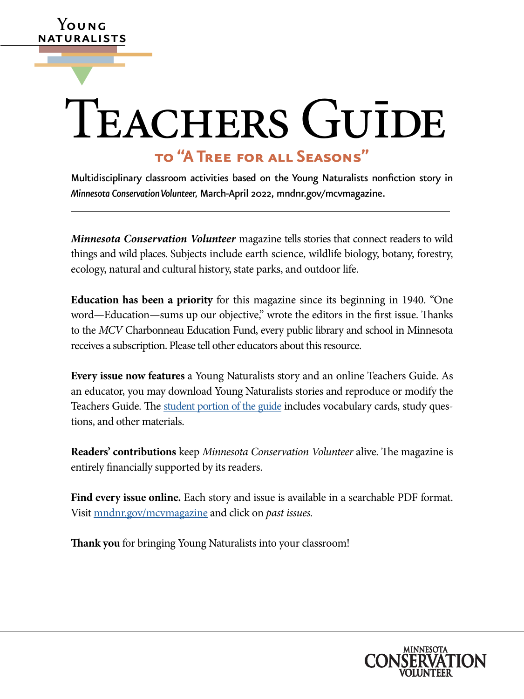# TEACHERS GUIDE

**Y**oung naturalists

▼

# **to "A Tree for all Seasons"**

Multidisciplinary classroom activities based on the Young Naturalists nonfiction story in *Minnesota Conservation Volunteer,* March-April 2022, [mndnr.gov/mcvmagazine](http://www.dnr.state.mn.us/mcvmagazine/index.html).

*Minnesota Conservation Volunteer* magazine tells stories that connect readers to wild things and wild places. Subjects include earth science, wildlife biology, botany, forestry, ecology, natural and cultural history, state parks, and outdoor life.

**Education has been a priority** for this magazine since its beginning in 1940. "One word—Education—sums up our objective," wrote the editors in the first issue. Thanks to the *MCV* Charbonneau Education Fund, every public library and school in Minnesota receives a subscription. Please tell other educators about this resource.

**Every issue now features** a Young Naturalists story and an online Teachers Guide. As an educator, you may download Young Naturalists stories and reproduce or modify the Teachers Guide. The [student portion of the guide](https://www.dnr.state.mn.us/mcvmagazine/young-naturalists.html) includes vocabulary cards, study questions, and other materials.

**Readers' contributions** keep *Minnesota Conservation Volunteer* alive. The magazine is entirely financially supported by its readers.

**Find every issue online.** Each story and issue is available in a searchable PDF format. Visit [mndnr.gov/mcvmagazine](http://www.mndnr.gov/mcvmagazine) and click on *past issues.*

**Thank you** for bringing Young Naturalists into your classroom!

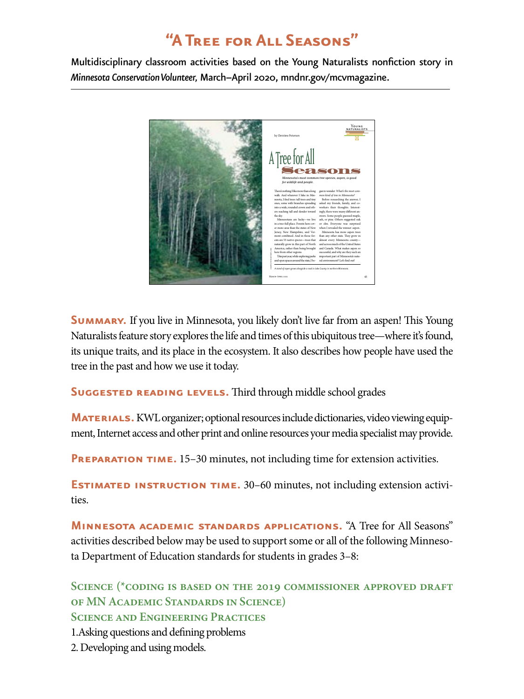# **"A Tree for All Seasons"**

Multidisciplinary classroom activities based on the Young Naturalists nonfiction story in *Minnesota Conservation Volunteer,* March–April 2020, [mndnr.gov/mcvmagazine](http://www.mndnr.gov/mcvmagazine).



**SUMMARY.** If you live in Minnesota, you likely don't live far from an aspen! This Young Naturalists feature story explores the life and times of this ubiquitous tree—where it's found, its unique traits, and its place in the ecosystem. It also describes how people have used the tree in the past and how we use it today.

**SUGGESTED READING LEVELS.** Third through middle school grades

**MATERIALS.** KWL organizer; optional resources include dictionaries, video viewing equipment, Internet access and other print and online resources your media specialist may provide.

**PREPARATION TIME.** 15–30 minutes, not including time for extension activities.

**ESTIMATED INSTRUCTION TIME.** 30–60 minutes, not including extension activities.

**Minnesota academic standards applications.** "A Tree for All Seasons" activities described below may be used to support some or all of the following Minnesota Department of Education standards for students in grades 3–8:

**Science (\*coding is based on the 2019 commissioner approved draft of MN Academic Standards in Science) Science and Engineering Practices**

1.Asking questions and defining problems

2. Developing and using models.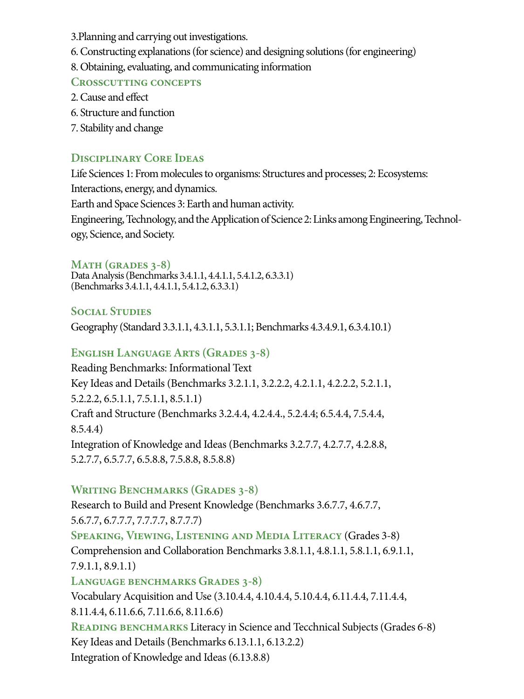- 3.Planning and carrying out investigations.
- 6. Constructing explanations (for science) and designing solutions (for engineering)
- 8. Obtaining, evaluating, and communicating information

### **Crosscutting concepts**

- 2. Cause and effect
- 6. Structure and function
- 7. Stability and change

## **Disciplinary Core Ideas**

Life Sciences 1: From molecules to organisms: Structures and processes; 2: Ecosystems: Interactions, energy, and dynamics. Earth and Space Sciences 3: Earth and human activity. Engineering, Technology, and the Application of Science 2: Links among Engineering, Technology, Science, and Society.

#### **Math (grades 3-8)**

Data Analysis (Benchmarks 3.4.1.1, 4.4.1.1, 5.4.1.2, 6.3.3.1) (Benchmarks 3.4.1.1, 4.4.1.1, 5.4.1.2, 6.3.3.1)

### **Social Studies**

Geography (Standard 3.3.1.1, 4.3.1.1, 5.3.1.1; Benchmarks 4.3.4.9.1, 6.3.4.10.1)

### **English Language Arts (Grades 3-8)**

Reading Benchmarks: Informational Text Key Ideas and Details (Benchmarks 3.2.1.1, 3.2.2.2, 4.2.1.1, 4.2.2.2, 5.2.1.1, 5.2.2.2, 6.5.1.1, 7.5.1.1, 8.5.1.1) Craft and Structure (Benchmarks 3.2.4.4, 4.2.4.4., 5.2.4.4; 6.5.4.4, 7.5.4.4, 8.5.4.4) Integration of Knowledge and Ideas (Benchmarks 3.2.7.7, 4.2.7.7, 4.2.8.8, 5.2.7.7, 6.5.7.7, 6.5.8.8, 7.5.8.8, 8.5.8.8)

### **Writing Benchmarks (Grades 3-8)**

Research to Build and Present Knowledge (Benchmarks 3.6.7.7, 4.6.7.7, 5.6.7.7, 6.7.7.7, 7.7.7.7, 8.7.7.7) **Speaking, Viewing, Listening and Media Literacy** (Grades 3-8) Comprehension and Collaboration Benchmarks 3.8.1.1, 4.8.1.1, 5.8.1.1, 6.9.1.1, 7.9.1.1, 8.9.1.1) **Language benchmarks Grades 3-8)** Vocabulary Acquisition and Use (3.10.4.4, 4.10.4.4, 5.10.4.4, 6.11.4.4, 7.11.4.4, 8.11.4.4, 6.11.6.6, 7.11.6.6, 8.11.6.6) **READING BENCHMARKS** Literacy in Science and Tecchnical Subjects (Grades 6-8) Key Ideas and Details (Benchmarks 6.13.1.1, 6.13.2.2) Integration of Knowledge and Ideas (6.13.8.8)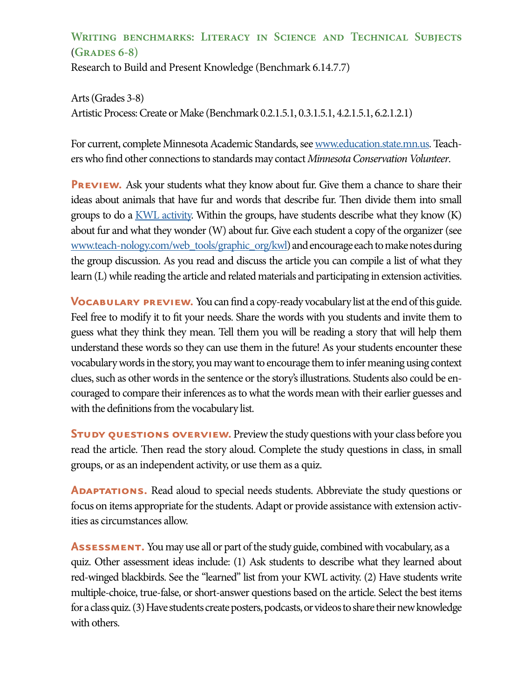## **Writing benchmarks: Literacy in Science and Technical Subjects**  (**Grades 6-8)**

Research to Build and Present Knowledge (Benchmark 6.14.7.7)

Arts (Grades 3-8) Artistic Process: Create or Make (Benchmark 0.2.1.5.1, 0.3.1.5.1, 4.2.1.5.1, 6.2.1.2.1)

For current, complete Minnesota Academic Standards, see [www.education.state.mn.us](https://education.mn.gov/mde/index.html). Teachers who find other connections to standards may contact *Minnesota Conservation Volunteer*.

**PREVIEW.** Ask your students what they know about fur. Give them a chance to share their ideas about animals that have fur and words that describe fur. Then divide them into small groups to do a  $KWL$  activity. Within the groups, have students describe what they know  $(K)$ about fur and what they wonder (W) about fur. Give each student a copy of the organizer (see [www.teach-nology.com/web\\_tools/graphic\\_org/kwl](http://www.teach-nology.com/web_tools/graphic_org/kwl/)) and encourage each to make notes during the group discussion. As you read and discuss the article you can compile a list of what they learn (L) while reading the article and related materials and participating in extension activities.

**VOCABULARY PREVIEW.** You can find a copy-ready vocabulary list at the end of this guide. Feel free to modify it to fit your needs. Share the words with you students and invite them to guess what they think they mean. Tell them you will be reading a story that will help them understand these words so they can use them in the future! As your students encounter these vocabulary words in the story, you may want to encourage them to infer meaning using context clues, such as other words in the sentence or the story's illustrations. Students also could be encouraged to compare their inferences as to what the words mean with their earlier guesses and with the definitions from the vocabulary list.

**STUDY QUESTIONS OVERVIEW.** Preview the study questions with your class before you read the article. Then read the story aloud. Complete the study questions in class, in small groups, or as an independent activity, or use them as a quiz.

**ADAPTATIONS.** Read aloud to special needs students. Abbreviate the study questions or focus on items appropriate for the students. Adapt or provide assistance with extension activities as circumstances allow.

**ASSESSMENT.** You may use all or part of the study guide, combined with vocabulary, as a quiz. Other assessment ideas include: (1) Ask students to describe what they learned about red-winged blackbirds. See the "learned" list from your KWL activity. (2) Have students write multiple-choice, true-false, or short-answer questions based on the article. Select the best items for a class quiz. (3) Have students create posters, podcasts, or videos to share their new knowledge with others.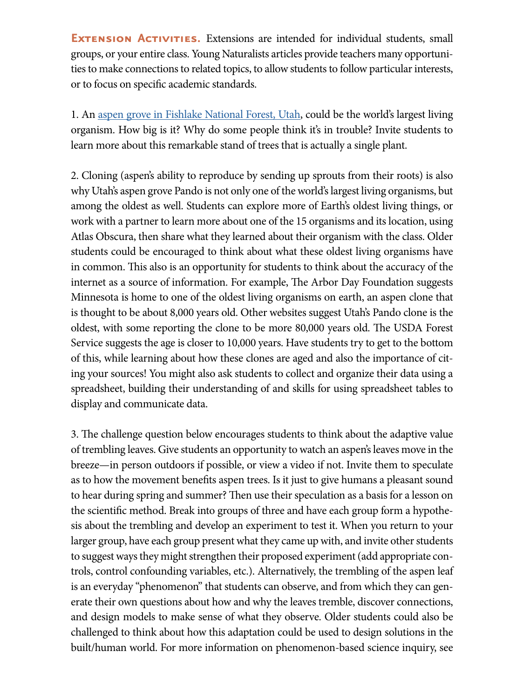**EXTENSION ACTIVITIES.** Extensions are intended for individual students, small groups, or your entire class. Young Naturalists articles provide teachers many opportunities to make connections to related topics, to allow students to follow particular interests, or to focus on specific academic standards.

1. An [aspen grove in Fishlake National Forest, Utah](http://https://www.fs.usda.gov/detail/fishlake/home/?cid=STELPRDB5393641#:~:text=Pando%20is%20believed%20to%20be,of%20the%20last%20ice%20age.), could be the world's largest living organism. How big is it? Why do some people think it's in trouble? Invite students to learn more about this remarkable stand of trees that is actually a single plant.

2. Cloning (aspen's ability to reproduce by sending up sprouts from their roots) is also why Utah's aspen grove Pando is not only one of the world's largest living organisms, but among the oldest as well. Students can explore more of Earth's oldest living things, or work with a partner to learn more about one of the 15 organisms and its location, using Atlas Obscura, then share what they learned about their organism with the class. Older students could be encouraged to think about what these oldest living organisms have in common. This also is an opportunity for students to think about the accuracy of the internet as a source of information. For example, The Arbor Day Foundation suggests Minnesota is home to one of the oldest living organisms on earth, an aspen clone that is thought to be about 8,000 years old. Other websites suggest Utah's Pando clone is the oldest, with some reporting the clone to be more 80,000 years old. The USDA Forest Service suggests the age is closer to 10,000 years. Have students try to get to the bottom of this, while learning about how these clones are aged and also the importance of citing your sources! You might also ask students to collect and organize their data using a spreadsheet, building their understanding of and skills for using spreadsheet tables to display and communicate data.

3. The challenge question below encourages students to think about the adaptive value of trembling leaves. Give students an opportunity to watch an aspen's leaves move in the breeze—in person outdoors if possible, or view a video if not. Invite them to speculate as to how the movement benefits aspen trees. Is it just to give humans a pleasant sound to hear during spring and summer? Then use their speculation as a basis for a lesson on the scientific method. Break into groups of three and have each group form a hypothesis about the trembling and develop an experiment to test it. When you return to your larger group, have each group present what they came up with, and invite other students to suggest ways they might strengthen their proposed experiment (add appropriate controls, control confounding variables, etc.). Alternatively, the trembling of the aspen leaf is an everyday "phenomenon" that students can observe, and from which they can generate their own questions about how and why the leaves tremble, discover connections, and design models to make sense of what they observe. Older students could also be challenged to think about how this adaptation could be used to design solutions in the built/human world. For more information on phenomenon-based science inquiry, see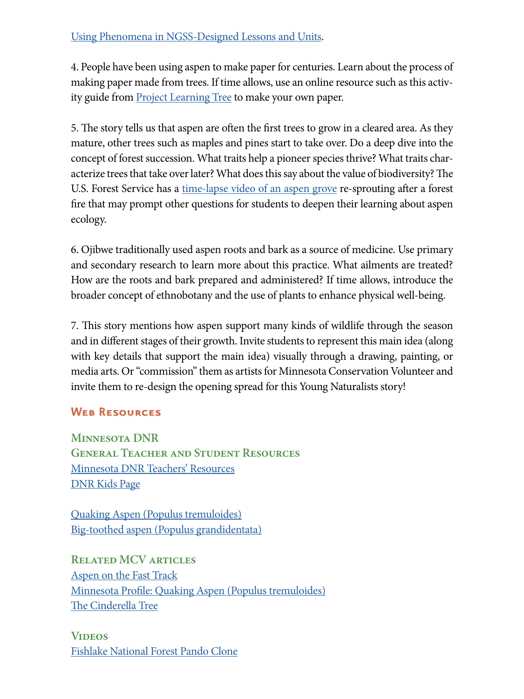4. People have been using aspen to make paper for centuries. Learn about the process of making paper made from trees. If time allows, use an online resource such as this activity guide from [Project Learning Tree](http://https://www.fs.fed.us/wildflowers/beauty/aspen/ecology.shtml) to make your own paper.

5. The story tells us that aspen are often the first trees to grow in a cleared area. As they mature, other trees such as maples and pines start to take over. Do a deep dive into the concept of forest succession. What traits help a pioneer species thrive? What traits characterize trees that take over later? What does this say about the value of biodiversity? The U.S. Forest Service has a [time-lapse video of an aspen grove](http://https://www.fs.fed.us/wildflowers/beauty/aspen/ecology.shtml) re-sprouting after a forest fire that may prompt other questions for students to deepen their learning about aspen ecology.

6. Ojibwe traditionally used aspen roots and bark as a source of medicine. Use primary and secondary research to learn more about this practice. What ailments are treated? How are the roots and bark prepared and administered? If time allows, introduce the broader concept of ethnobotany and the use of plants to enhance physical well-being.

7. This story mentions how aspen support many kinds of wildlife through the season and in different stages of their growth. Invite students to represent this main idea (along with key details that support the main idea) visually through a drawing, painting, or media arts. Or "commission" them as artists for Minnesota Conservation Volunteer and invite them to re-design the opening spread for this Young Naturalists story!

### **Web Resources**

**Minnesota DNR General Teacher and Student Resources** [Minnesota DNR Teachers' Resources](http://www.dnr.state.mn.us/education/teachers/index.html) [DNR Kids Page](http://www.dnr.state.mn.us/dnrkids/index.html)

Quaking Aspen (Populus tremuloides) Big-toothed aspen (Populus grandidentata)

**Related MCV articles** Aspen on the Fast Track Minnesota Profile: Quaking Aspen (Populus tremuloides) The Cinderella Tree

**Videos** Fishlake National Forest Pando Clone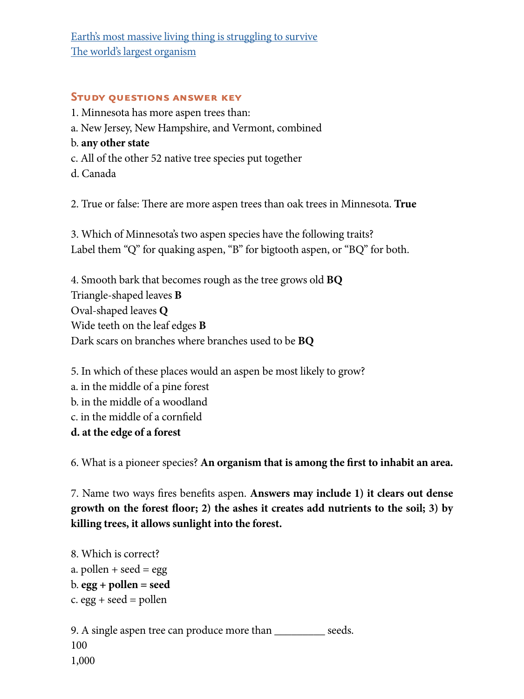Earth's most massive living thing is struggling to survive The world's largest organism

#### **Study questions answer key**

1. Minnesota has more aspen trees than:

- a. New Jersey, New Hampshire, and Vermont, combined
- b. **any other state**
- c. All of the other 52 native tree species put together
- d. Canada

2. True or false: There are more aspen trees than oak trees in Minnesota. **True**

3. Which of Minnesota's two aspen species have the following traits? Label them "Q" for quaking aspen, "B" for bigtooth aspen, or "BQ" for both.

4. Smooth bark that becomes rough as the tree grows old **BQ** Triangle-shaped leaves **B** Oval-shaped leaves **Q** Wide teeth on the leaf edges **B** Dark scars on branches where branches used to be **BQ**

5. In which of these places would an aspen be most likely to grow? a. in the middle of a pine forest b. in the middle of a woodland c. in the middle of a cornfield **d. at the edge of a forest**

6. What is a pioneer species? **An organism that is among the first to inhabit an area.**

7. Name two ways fires benefits aspen. **Answers may include 1) it clears out dense growth on the forest floor; 2) the ashes it creates add nutrients to the soil; 3) by killing trees, it allows sunlight into the forest.**

```
8. Which is correct?
a. pollen + seed = egg
b. egg + pollen = seed
c. egg + seed = pollen
9. A single aspen tree can produce more than ___________ seeds.
100
1,000
```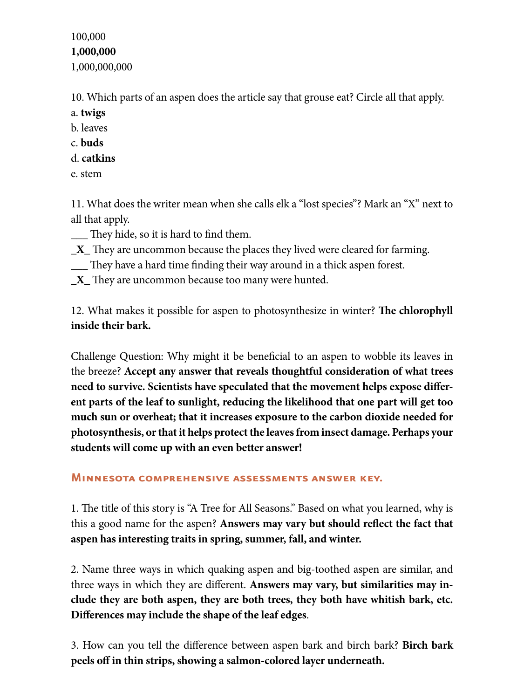100,000 **1,000,000** 1,000,000,000

10. Which parts of an aspen does the article say that grouse eat? Circle all that apply.

- a. **twigs**
- b. leaves
- c. **buds**
- d. **catkins**
- e. stem

11. What does the writer mean when she calls elk a "lost species"? Mark an "X" next to all that apply.

- \_\_\_ They hide, so it is hard to find them.
- **\_X\_** They are uncommon because the places they lived were cleared for farming.
- \_\_\_ They have a hard time finding their way around in a thick aspen forest.
- **\_X\_** They are uncommon because too many were hunted.

12. What makes it possible for aspen to photosynthesize in winter? **The chlorophyll inside their bark.** 

Challenge Question: Why might it be beneficial to an aspen to wobble its leaves in the breeze? **Accept any answer that reveals thoughtful consideration of what trees need to survive. Scientists have speculated that the movement helps expose different parts of the leaf to sunlight, reducing the likelihood that one part will get too much sun or overheat; that it increases exposure to the carbon dioxide needed for photosynthesis, or that it helps protect the leaves from insect damage. Perhaps your students will come up with an even better answer!**

#### **Minnesota comprehensive assessments answer key.**

1. The title of this story is "A Tree for All Seasons." Based on what you learned, why is this a good name for the aspen? **Answers may vary but should reflect the fact that aspen has interesting traits in spring, summer, fall, and winter.**

2. Name three ways in which quaking aspen and big-toothed aspen are similar, and three ways in which they are different. **Answers may vary, but similarities may include they are both aspen, they are both trees, they both have whitish bark, etc. Differences may include the shape of the leaf edges**.

3. How can you tell the difference between aspen bark and birch bark? **Birch bark peels off in thin strips, showing a salmon-colored layer underneath.**